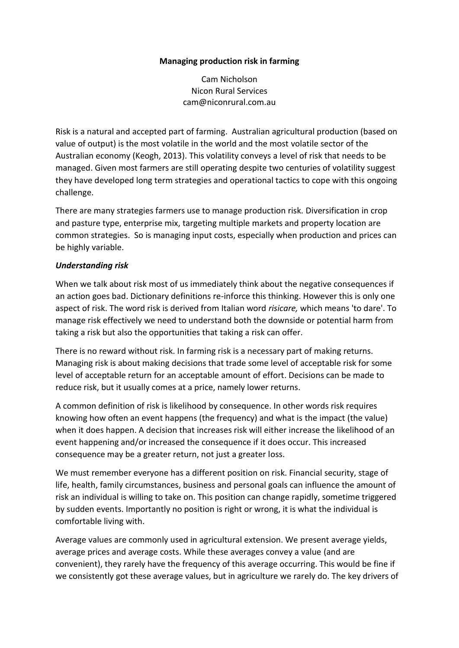#### **Managing production risk in farming**

Cam Nicholson Nicon Rural Services cam@niconrural.com.au

Risk is a natural and accepted part of farming. Australian agricultural production (based on value of output) is the most volatile in the world and the most volatile sector of the Australian economy (Keogh, 2013). This volatility conveys a level of risk that needs to be managed. Given most farmers are still operating despite two centuries of volatility suggest they have developed long term strategies and operational tactics to cope with this ongoing challenge.

There are many strategies farmers use to manage production risk. Diversification in crop and pasture type, enterprise mix, targeting multiple markets and property location are common strategies. So is managing input costs, especially when production and prices can be highly variable.

#### *Understanding risk*

When we talk about risk most of us immediately think about the negative consequences if an action goes bad. Dictionary definitions re-inforce this thinking. However this is only one aspect of risk. The word risk is derived from Italian word *risicare,* which means 'to dare'. To manage risk effectively we need to understand both the downside or potential harm from taking a risk but also the opportunities that taking a risk can offer.

There is no reward without risk. In farming risk is a necessary part of making returns. Managing risk is about making decisions that trade some level of acceptable risk for some level of acceptable return for an acceptable amount of effort. Decisions can be made to reduce risk, but it usually comes at a price, namely lower returns.

A common definition of risk is likelihood by consequence. In other words risk requires knowing how often an event happens (the frequency) and what is the impact (the value) when it does happen. A decision that increases risk will either increase the likelihood of an event happening and/or increased the consequence if it does occur. This increased consequence may be a greater return, not just a greater loss.

We must remember everyone has a different position on risk. Financial security, stage of life, health, family circumstances, business and personal goals can influence the amount of risk an individual is willing to take on. This position can change rapidly, sometime triggered by sudden events. Importantly no position is right or wrong, it is what the individual is comfortable living with.

Average values are commonly used in agricultural extension. We present average yields, average prices and average costs. While these averages convey a value (and are convenient), they rarely have the frequency of this average occurring. This would be fine if we consistently got these average values, but in agriculture we rarely do. The key drivers of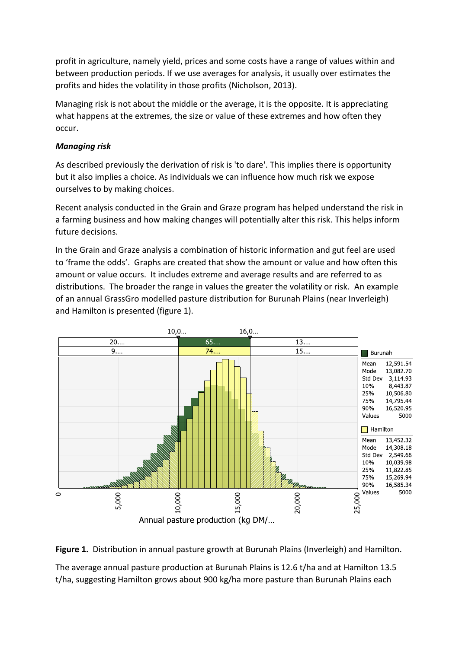profit in agriculture, namely yield, prices and some costs have a range of values within and between production periods. If we use averages for analysis, it usually over estimates the profits and hides the volatility in those profits (Nicholson, 2013).

Managing risk is not about the middle or the average, it is the opposite. It is appreciating what happens at the extremes, the size or value of these extremes and how often they occur.

### *Managing risk*

As described previously the derivation of risk is 'to dare'. This implies there is opportunity but it also implies a choice. As individuals we can influence how much risk we expose ourselves to by making choices.

Recent analysis conducted in the Grain and Graze program has helped understand the risk in a farming business and how making changes will potentially alter this risk. This helps inform future decisions.

In the Grain and Graze analysis a combination of historic information and gut feel are used to 'frame the odds'. Graphs are created that show the amount or value and how often this amount or value occurs. It includes extreme and average results and are referred to as distributions. The broader the range in values the greater the volatility or risk. An example of an annual GrassGro modelled pasture distribution for Burunah Plains (near Inverleigh) and Hamilton is presented (figure 1).





The average annual pasture production at Burunah Plains is 12.6 t/ha and at Hamilton 13.5 t/ha, suggesting Hamilton grows about 900 kg/ha more pasture than Burunah Plains each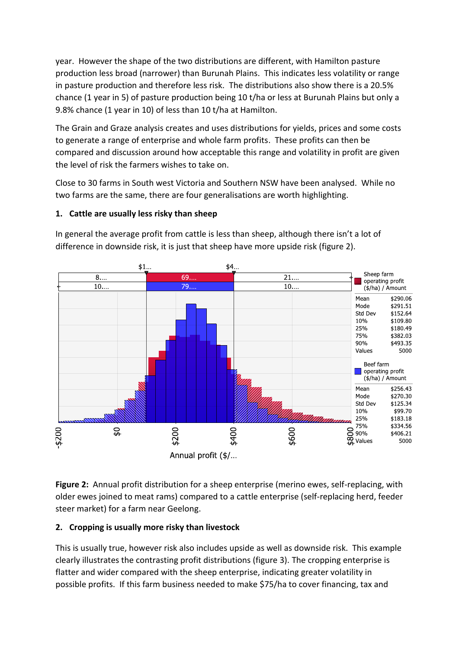year. However the shape of the two distributions are different, with Hamilton pasture production less broad (narrower) than Burunah Plains. This indicates less volatility or range in pasture production and therefore less risk. The distributions also show there is a 20.5% chance (1 year in 5) of pasture production being 10 t/ha or less at Burunah Plains but only a 9.8% chance (1 year in 10) of less than 10 t/ha at Hamilton.

The Grain and Graze analysis creates and uses distributions for yields, prices and some costs to generate a range of enterprise and whole farm profits. These profits can then be compared and discussion around how acceptable this range and volatility in profit are given the level of risk the farmers wishes to take on.

Close to 30 farms in South west Victoria and Southern NSW have been analysed. While no two farms are the same, there are four generalisations are worth highlighting.

# **1. Cattle are usually less risky than sheep**



In general the average profit from cattle is less than sheep, although there isn't a lot of difference in downside risk, it is just that sheep have more upside risk (figure 2).

**Figure 2:** Annual profit distribution for a sheep enterprise (merino ewes, self-replacing, with older ewes joined to meat rams) compared to a cattle enterprise (self-replacing herd, feeder steer market) for a farm near Geelong.

# **2. Cropping is usually more risky than livestock**

This is usually true, however risk also includes upside as well as downside risk. This example clearly illustrates the contrasting profit distributions (figure 3). The cropping enterprise is flatter and wider compared with the sheep enterprise, indicating greater volatility in possible profits. If this farm business needed to make \$75/ha to cover financing, tax and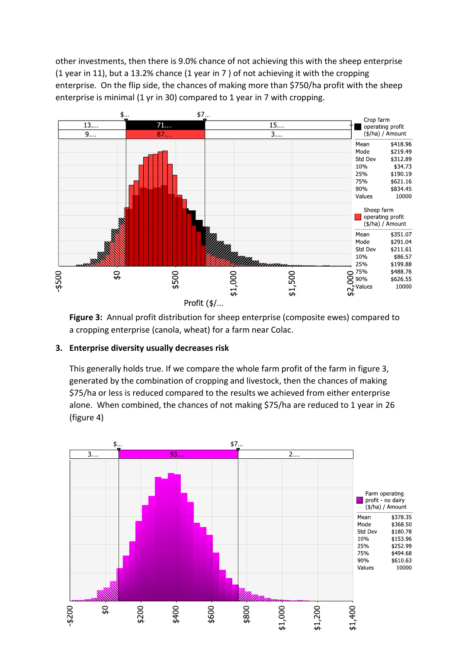other investments, then there is 9.0% chance of not achieving this with the sheep enterprise (1 year in 11), but a 13.2% chance (1 year in 7 ) of not achieving it with the cropping enterprise. On the flip side, the chances of making more than \$750/ha profit with the sheep enterprise is minimal (1 yr in 30) compared to 1 year in 7 with cropping.



**Figure 3:** Annual profit distribution for sheep enterprise (composite ewes) compared to a cropping enterprise (canola, wheat) for a farm near Colac.

## **3. Enterprise diversity usually decreases risk**

This generally holds true. If we compare the whole farm profit of the farm in figure 3, generated by the combination of cropping and livestock, then the chances of making \$75/ha or less is reduced compared to the results we achieved from either enterprise alone. When combined, the chances of not making \$75/ha are reduced to 1 year in 26 (figure 4)

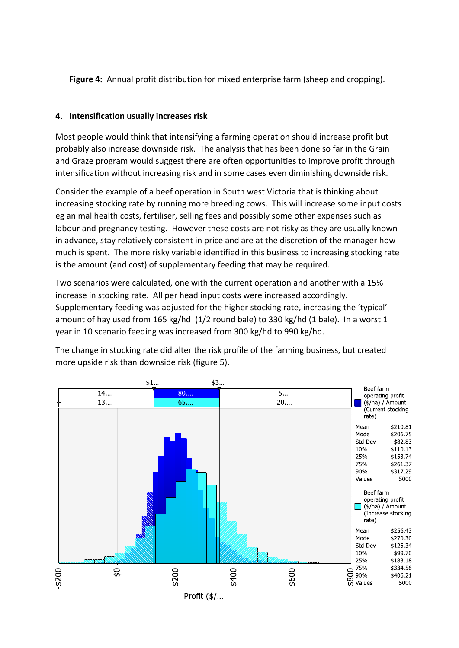**Figure 4:** Annual profit distribution for mixed enterprise farm (sheep and cropping).

### **4. Intensification usually increases risk**

Most people would think that intensifying a farming operation should increase profit but probably also increase downside risk. The analysis that has been done so far in the Grain and Graze program would suggest there are often opportunities to improve profit through intensification without increasing risk and in some cases even diminishing downside risk.

Consider the example of a beef operation in South west Victoria that is thinking about increasing stocking rate by running more breeding cows. This will increase some input costs eg animal health costs, fertiliser, selling fees and possibly some other expenses such as labour and pregnancy testing. However these costs are not risky as they are usually known in advance, stay relatively consistent in price and are at the discretion of the manager how much is spent. The more risky variable identified in this business to increasing stocking rate is the amount (and cost) of supplementary feeding that may be required.

Two scenarios were calculated, one with the current operation and another with a 15% increase in stocking rate. All per head input costs were increased accordingly. Supplementary feeding was adjusted for the higher stocking rate, increasing the 'typical' amount of hay used from 165 kg/hd (1/2 round bale) to 330 kg/hd (1 bale). In a worst 1 year in 10 scenario feeding was increased from 300 kg/hd to 990 kg/hd.

The change in stocking rate did alter the risk profile of the farming business, but created more upside risk than downside risk (figure 5).